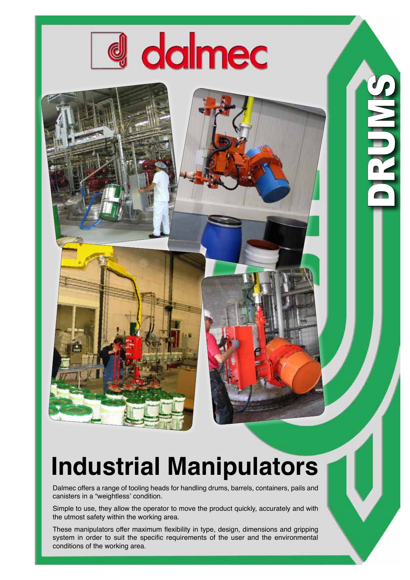

CLES C

## **Industrial Manipulators**

Dalmec offers a range of tooling heads for handling drums, barrels, containers, pails and canisters in a "weightless' condition.

Simple to use, they allow the operator to move the product quickly, accurately and with the utmost safety within the working area.

These manipulators offer maximum flexibility in type, design, dimensions and gripping system in order to suit the specific requirements of the user and the environmental conditions of the working area.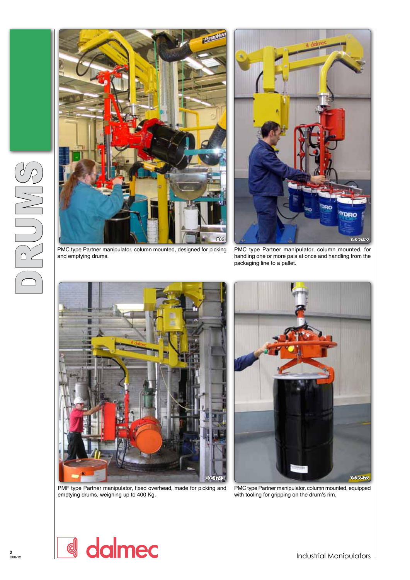



PMC type Partner manipulator, column mounted, designed for picking and emptying drums.

PMC type Partner manipulator, column mounted, for handling one or more pais at once and handling from the packaging line to a pallet.



PMF type Partner manipulator, fixed overhead, made for picking and emptying drums, weighing up to 400 Kg.



PMC type Partner manipulator, column mounted, equipped with tooling for gripping on the drum's rim.

DRUMS

dalmec d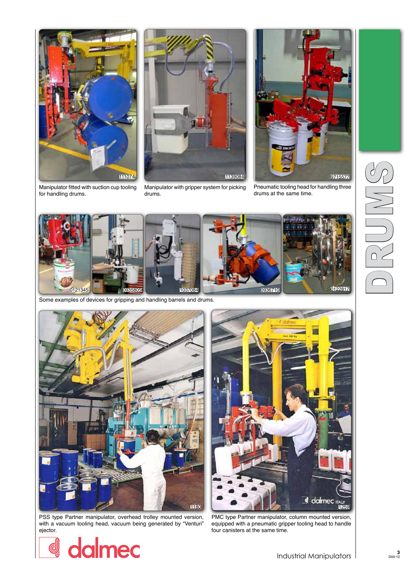

Manipulator fitted with suction cup tooling for handling drums.



Manipulator with gripper system for picking drums.



Pneumatic tooling head for handling three drums at the same time.



Some examples of devices for gripping and handling barrels and drums.



PSS type Partner manipulator, overhead trolley mounted version, with a vacuum tooling head, vacuum being generated by "Venturi" ejector.

dalmec

d



PMC type Partner manipulator, column mounted version, equipped with a pneumatic gripper tooling head to handle four canisters at the same time.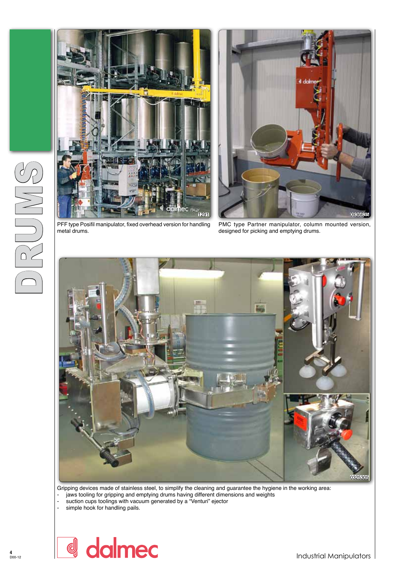



metal drums.

PMC type Partner manipulator, column mounted version, designed for picking and emptying drums.



Gripping devices made of stainless steel, to simplify the cleaning and guarantee the hygiene in the working area: - jaws tooling for gripping and emptying drums having different dimensions and weights

- suction cups toolings with vacuum generated by a "Venturi" ejector
- simple hook for handling pails.

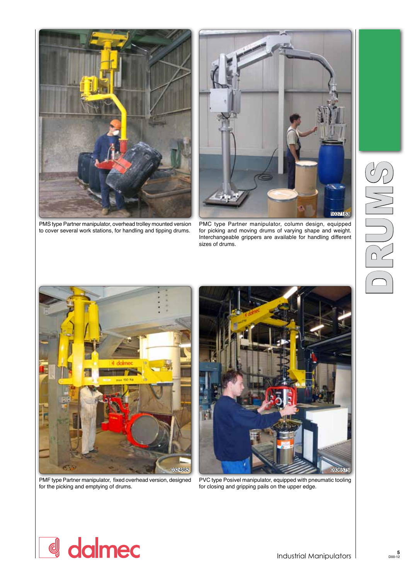

PMS type Partner manipulator, overhead trolley mounted version to cover several work stations, for handling and tipping drums.



PMC type Partner manipulator, column design, equipped for picking and moving drums of varying shape and weight. Interchangeable grippers are available for handling different sizes of drums.



PMF type Partner manipulator, fixed overhead version, designed for the picking and emptying of drums.



PVC type Posivel manipulator, equipped with pneumatic tooling for closing and gripping pails on the upper edge.

## d dalmec